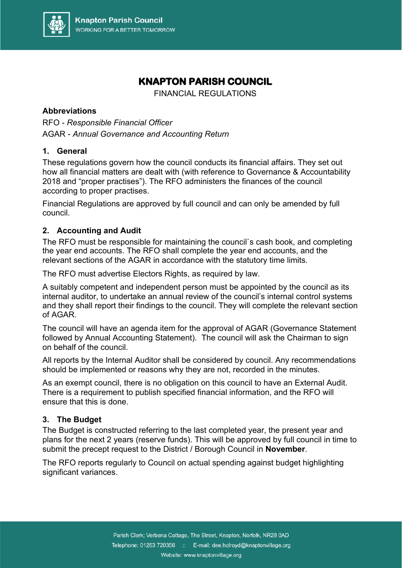

# **KNAPTON PARISH COUNCIL**

FINANCIAL REGULATIONS

#### **Abbreviations**

RFO - *Responsible Financial Officer*  AGAR - *Annual Governance and Accounting Return*

#### **1. General**

These regulations govern how the council conducts its financial affairs. They set out how all financial matters are dealt with (with reference to Governance & Accountability 2018 and "proper practises"). The RFO administers the finances of the council according to proper practises.

Financial Regulations are approved by full council and can only be amended by full council.

#### **2. Accounting and Audit**

The RFO must be responsible for maintaining the council`s cash book, and completing the year end accounts. The RFO shall complete the year end accounts, and the relevant sections of the AGAR in accordance with the statutory time limits.

The RFO must advertise Electors Rights, as required by law.

A suitably competent and independent person must be appointed by the council as its internal auditor, to undertake an annual review of the council's internal control systems and they shall report their findings to the council. They will complete the relevant section of AGAR.

The council will have an agenda item for the approval of AGAR (Governance Statement followed by Annual Accounting Statement). The council will ask the Chairman to sign on behalf of the council.

All reports by the Internal Auditor shall be considered by council. Any recommendations should be implemented or reasons why they are not, recorded in the minutes.

As an exempt council, there is no obligation on this council to have an External Audit. There is a requirement to publish specified financial information, and the RFO will ensure that this is done.

#### **3. The Budget**

The Budget is constructed referring to the last completed year, the present year and plans for the next 2 years (reserve funds). This will be approved by full council in time to submit the precept request to the District / Borough Council in **November**.

The RFO reports regularly to Council on actual spending against budget highlighting significant variances.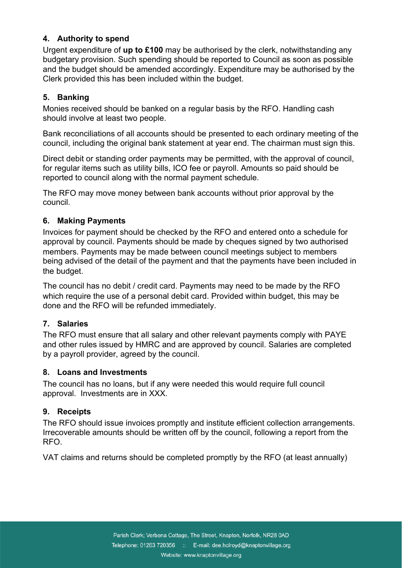## **4. Authority to spend**

Urgent expenditure of **up to £100** may be authorised by the clerk, notwithstanding any budgetary provision. Such spending should be reported to Council as soon as possible and the budget should be amended accordingly. Expenditure may be authorised by the Clerk provided this has been included within the budget.

## **5. Banking**

Monies received should be banked on a regular basis by the RFO. Handling cash should involve at least two people.

Bank reconciliations of all accounts should be presented to each ordinary meeting of the council, including the original bank statement at year end. The chairman must sign this.

Direct debit or standing order payments may be permitted, with the approval of council, for regular items such as utility bills, ICO fee or payroll. Amounts so paid should be reported to council along with the normal payment schedule.

The RFO may move money between bank accounts without prior approval by the council.

## **6. Making Payments**

Invoices for payment should be checked by the RFO and entered onto a schedule for approval by council. Payments should be made by cheques signed by two authorised members. Payments may be made between council meetings subject to members being advised of the detail of the payment and that the payments have been included in the budget.

The council has no debit / credit card. Payments may need to be made by the RFO which require the use of a personal debit card. Provided within budget, this may be done and the RFO will be refunded immediately.

# **7. Salaries**

The RFO must ensure that all salary and other relevant payments comply with PAYE and other rules issued by HMRC and are approved by council. Salaries are completed by a payroll provider, agreed by the council.

## **8. Loans and Investments**

The council has no loans, but if any were needed this would require full council approval. Investments are in XXX.

## **9. Receipts**

The RFO should issue invoices promptly and institute efficient collection arrangements. Irrecoverable amounts should be written off by the council, following a report from the RFO.

VAT claims and returns should be completed promptly by the RFO (at least annually)